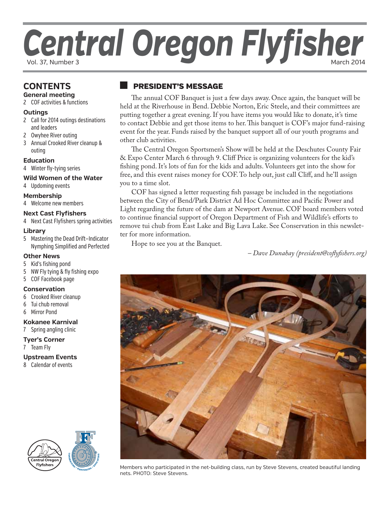# Central Oregon Flyfisher

# **CONTENTS**

**General meeting** 2 COF activities & functions

#### **Outings**

- 2 Call for 2014 outings destinations and leaders
- 2 Owyhee River outing
- 3 Annual Crooked River cleanup & outing

#### **Education**

4 Winter fly-tying series

#### **Wild Women of the Water**

4 Updoming events

#### **Membership**

4 Welcome new members

#### **Next Cast Flyfishers**

4 Next Cast Flyfishers spring activities

#### **Library**

5 Mastering the Dead Drift—Indicator Nymphing Simplified and Perfected

#### **Other News**

- 5 Kid's fishing pond
- 5 NW Fly tying & fly fishing expo
- 5 COF Facebook page

#### **Conservation**

- 6 Crooked River cleanup
- 6 Tui chub removal
- 6 Mirror Pond

#### **Kokanee Karnival**

7 Spring angling clinic

#### **Tyer's Corner**

7 Team Fly

#### **Upstream Events**

8 Calendar of events





## president's message

The annual COF Banquet is just a few days away. Once again, the banquet will be held at the Riverhouse in Bend. Debbie Norton, Eric Steele, and their committees are putting together a great evening. If you have items you would like to donate, it's time to contact Debbie and get those items to her. This banquet is COF's major fund-raising event for the year. Funds raised by the banquet support all of our youth programs and other club activities.

The Central Oregon Sportsmen's Show will be held at the Deschutes County Fair & Expo Center March 6 through 9. Cliff Price is organizing volunteers for the kid's fishing pond. It's lots of fun for the kids and adults. Volunteers get into the show for free, and this event raises money for COF. To help out, just call Cliff, and he'll assign you to a time slot.

COF has signed a letter requesting fish passage be included in the negotiations between the City of Bend/Park District Ad Hoc Committee and Pacific Power and Light regarding the future of the dam at Newport Avenue. COF board members voted to continue financial support of Oregon Department of Fish and Wildlife's efforts to remove tui chub from East Lake and Big Lava Lake. See Conservation in this newsletter for more information.

Hope to see you at the Banquet.

*– Dave Dunahay (president@coflyfishers.org)*



Members who participated in the net-building class, run by Steve Stevens, created beautiful landing nets. PHOTO: Steve Stevens.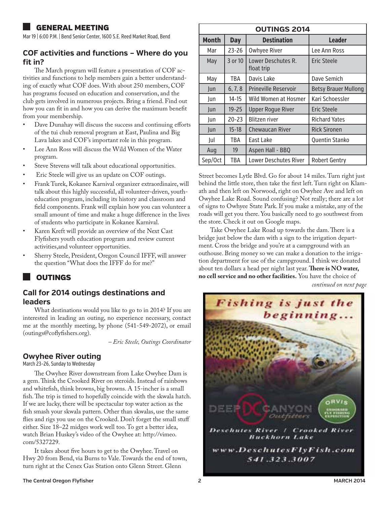## general meeting

Mar 19 | 6:00 P.M. | Bend Senior Center, 1600 S.E. Reed Market Road, Bend

## **COF activities and functions – Where do you fit in?**

The March program will feature a presentation of COF activities and functions to help members gain a better understanding of exactly what COF does. With about 250 members, COF has programs focused on education and conservation, and the club gets involved in numerous projects. Bring a friend. Find out how you can fit in and how you can derive the maximum benefit from your membership.

- Dave Dunahay will discuss the success and continuing efforts of the tui chub removal program at East, Paulina and Big Lava lakes and COF's important role in this program.
- Lee Ann Ross will discuss the Wild Women of the Water program.
- Steve Stevens will talk about educational opportunities.
- Eric Steele will give us an update on COF outings.
- Frank Turek, Kokanee Karnival organizer extraordinaire, will talk about this highly successful, all volunteer-driven, youtheducation program, including its history and classroom and field components. Frank will explain how you can volunteer a small amount of time and make a huge difference in the lives of students who participate in Kokanee Karnival.
- Karen Kreft will provide an overview of the Next Cast Flyfishers youth education program and review current activities,and volunteer opportunities.
- Sherry Steele, President, Oregon Council IFFF, will answer the question "What does the IFFF do for me?"

## **OUTINGS**

#### **Call for 2014 outings destinations and leaders**

What destinations would you like to go to in 2014? If you are interested in leading an outing, no experience necessary, contact me at the monthly meeting, by phone (541-549-2072), or email (outings@coflyfishers.org).

*– Eric Steele, Outings Coordinator*

#### **Owyhee River outing**

March 23–26, Sunday to Wednesday

The Owyhee River downstream from Lake Owyhee Dam is a gem. Think the Crooked River on steroids. Instead of rainbows and whitefish, think browns, big browns. A 15-incher is a small fish. The trip is timed to hopefully coincide with the skwala hatch. If we are lucky, there will be spectacular top water action as the fish smash your skwala pattern. Other than skwalas, use the same flies and rigs you use on the Crooked. Don't forget the small stuff either. Size 18–22 midges work well too. To get a better idea, watch Brian Huskey's video of the Owyhee at: http://vimeo. com/5327229.

It takes about five hours to get to the Owyhee. Travel on Hwy 20 from Bend, via Burns to Vale. Towards the end of town, turn right at the Cenex Gas Station onto Glenn Street. Glenn

| <b>OUTINGS 2014</b> |            |                                                 |                             |  |  |
|---------------------|------------|-------------------------------------------------|-----------------------------|--|--|
| <b>Month</b>        | <b>Day</b> | <b>Destination</b>                              | <b>Leader</b>               |  |  |
| Mar                 | $23 - 26$  | <b>Owhyee River</b>                             | Lee Ann Ross                |  |  |
| May                 | 3 or 10    | Lower Deschutes R.<br>Eric Steele<br>float trip |                             |  |  |
| May                 | TBA        | Davis Lake                                      | Dave Semich                 |  |  |
| Jun                 | 6, 7, 8    | <b>Prineville Reservoir</b>                     | <b>Betsy Brauer Mullong</b> |  |  |
| lun                 | $14-15$    | Wild Women at Hosmer                            | Kari Schoessler             |  |  |
| lun                 | $19 - 25$  | <b>Upper Roque River</b>                        | Eric Steele                 |  |  |
| Jun                 | $20 - 23$  | <b>Blitzen river</b>                            | <b>Richard Yates</b>        |  |  |
| Jun                 | $15 - 18$  | <b>Chewaucan River</b>                          | <b>Rick Sironen</b>         |  |  |
| Jul                 | TBA        | East Lake                                       | Quentin Stanko              |  |  |
| Aug                 | 19         | Aspen Hall - BBQ                                |                             |  |  |
| Sep/Oct             | TBA        | Lower Deschutes River                           | <b>Robert Gentry</b>        |  |  |

Street becomes Lytle Blvd. Go for about 14 miles. Turn right just behind the little store, then take the first left.Turn right on Klamath and then left on Norwood, right on Owyhee Ave and left on Owyhee Lake Road. Sound confusing? Not really; there are a lot of signs to Owhyee State Park. If you make a mistake, any of the roads will get you there. You basically need to go southwest from the store. Check it out on Google maps.

Take Owyhee Lake Road up towards the dam. There is a bridge just below the dam with a sign to the irrigation department. Cross the bridge and you're at a campground with an outhouse. Bring money so we can make a donation to the irrigation department for use of the campground. I think we donated about ten dollars a head per night last year. **There is NO water, no cell service and no other facilities.** You have the choice of

*continued on next page*

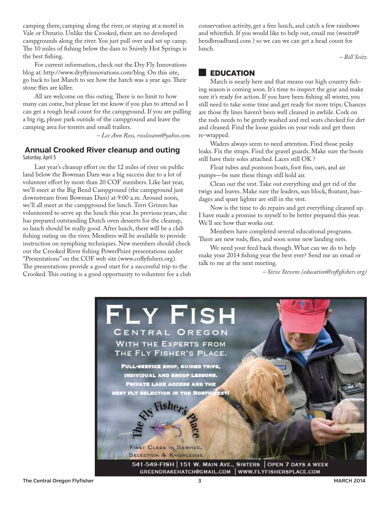camping there, camping along the river, or staying at a motel in Vale or Ontario. Unlike the Crooked, there are no developed campgrounds along the river. You just pull over and set up camp. The 10 miles of fishing below the dam to Snively Hot Springs is the best fishing.

For current information, check out the Dry Fly Innovations blog at: http://www.dryflyinnovations.com/blog. On this site, go back to last March to see how the hatch was a year ago. Their stone flies are killer.

All are welcome on this outing. There is no limit to how many can come, but please let me know if you plan to attend so I can get a rough head count for the campground. If you are pulling a big rig, please park outside of the campground and leave the camping area for tenters and small trailers.

*– Lee Ann Ross, rossleeann@yahoo.com.* 

#### **Annual Crooked River cleanup and outing** Saturday, April 5

Last year's cleanup effort on the 12 miles of river on public land below the Bowman Dam was a big success due to a lot of volunteer effort by more than 20 COF members. Like last year, we'll meet at the Big Bend Campground (the campground just downstream from Bowman Dam) at 9:00 a.m. Around noon, we'll all meet at the campground for lunch. Terri Grimm has volunteered to serve up the lunch this year. In previous years, she has prepared outstanding Dutch oven desserts for the cleanup, so lunch should be really good. After lunch, there will be a club fishing outing on the river. Members will be available to provide instruction on nymphing techniques. New members should check out the Crooked River fishing PowerPoint presentations under "Presentations" on the COF web site (www.coflyfishers.org). The presentations provide a good start for a successful trip to the Crooked. This outing is a good opportunity to volunteer for a club conservation activity, get a free lunch, and catch a few rainbows and whitefish. If you would like to help out, email me (wseitz@ bendbroadband.com ) so we can we can get a head count for lunch.

*– Bill Seitz*

## **EDUCATION**

March is nearly here and that means our high country fishing season is coming soon. It's time to inspect the gear and make sure it's ready for action. If you have been fishing all winter, you still need to take some time and get ready for more trips. Chances are those fly lines haven't been well cleaned in awhile. Cork on the rods needs to be gently washed and reel seats checked for dirt and cleaned. Find the loose guides on your rods and get them re-wrapped.

Waders always seem to need attention. Find those pesky leaks. Fix the straps. Find the gravel guards. Make sure the boots still have their soles attached. Laces still OK ?

Float tubes and pontoon boats, foot fins, oars, and air pumps—be sure these things still hold air.

Clean out the vest. Take out everything and get rid of the twigs and leaves. Make sure the leaders, sun block, floatant, bandages and spare lighter are still in the vest.

Now is the time to do repairs and get everything cleaned up. I have made a promise to myself to be better prepared this year. We'll see how that works out.

Members have completed several educational programs. There are new rods, flies, and soon some new landing nets.

We need your feed back though. What can we do to help make your 2014 fishing year the best ever? Send me an email or talk to me at the next meeting.

*– Steve Stevens (education@coflyfishers.org)*

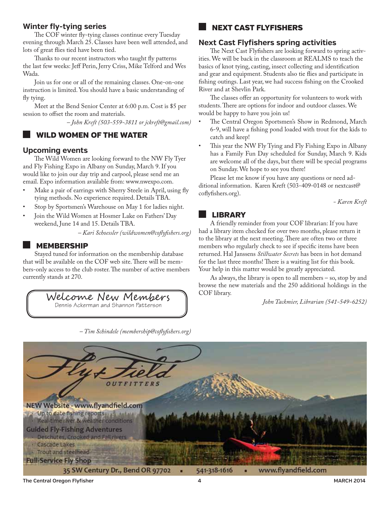## **Winter fly-tying series**

The COF winter fly-tying classes continue every Tuesday evening through March 25. Classes have been well attended, and lots of great flies tied have been tied.

Thanks to our recent instructors who taught fly patterns the last few weeks: Jeff Perin, Jerry Criss, Mike Telford and Wes Wada.

Join us for one or all of the remaining classes. One-on-one instruction is limited. You should have a basic understanding of fly tying.

Meet at the Bend Senior Center at 6:00 p.m. Cost is \$5 per session to offset the room and materials.

*– John Kreft (503-559-3811 or jckreft@gmail.com)*

## wild women of the water

#### **Upcoming events**

The Wild Women are looking forward to the NW Fly Tyer and Fly Fishing Expo in Albany on Sunday, March 9. If you would like to join our day trip and carpool, please send me an email. Expo information available from: www.nwexpo.com.

- Make a pair of earrings with Sherry Steele in April, using fly tying methods. No experience required. Details TBA.
- Stop by Sportsmen's Warehouse on May 1 for ladies night.
- Join the Wild Women at Hosmer Lake on Fathers' Day weekend, June 14 and 15. Details TBA.

*– Kari Schoessler (wildwomen@coflyfishers.org)*

*– Tim Schindele (membership@coflyfishers.org)* 

#### **MEMBERSHIP**

Stayed tuned for information on the membership database that will be available on the COF web site. There will be members-only access to the club roster. The number of active members currently stands at 270.

Dennis Ackerman and Shannon Patterson Welcome New Members

## next cast flyfishers

#### **Next Cast Flyfishers spring activities**

The Next Cast Flyfishers are looking forward to spring activities. We will be back in the classroom at REALMS to teach the basics of knot tying, casting, insect collecting and identification and gear and equipment. Students also tie flies and participate in fishing outings. Last year, we had success fishing on the Crooked River and at Shevlin Park.

The classes offer an opportunity for volunteers to work with students. There are options for indoor and outdoor classes. We would be happy to have you join us!

- The Central Oregon Sportsmen's Show in Redmond, March 6-9, will have a fishing pond loaded with trout for the kids to catch and keep!
- This year the NW Fly Tying and Fly Fishing Expo in Albany has a Family Fun Day scheduled for Sunday, March 9. Kids are welcome all of the days, but there will be special programs on Sunday. We hope to see you there!

Please let me know if you have any questions or need additional information. Karen Kreft (503-409-0148 or nextcast@ coflyfishers.org).

*- Karen Kreft*

#### **LIBRARY**

A friendly reminder from your COF librarian: If you have had a library item checked for over two months, please return it to the library at the next meeting. There are often two or three members who regularly check to see if specific items have been returned. Hal Janssens *Stillwater Secrets* has been in hot demand for the last three months! There is a waiting list for this book. Your help in this matter would be greatly appreciated.

As always, the library is open to all members – so, stop by and browse the new materials and the 250 additional holdings in the COF library.

*John Tackmier, Librarian (541-549-6252)*



**The Central Oregon Flyfisher 4 MARCH 2014**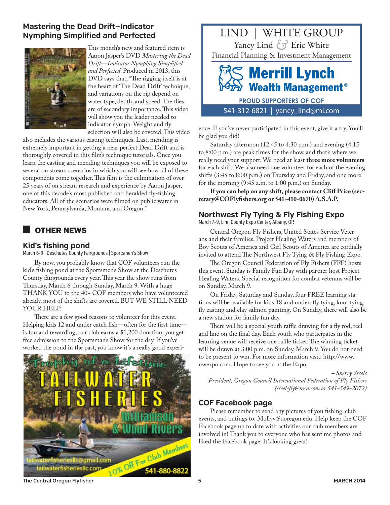## **Mastering the Dead Drift—Indicator Nymphing Simplified and Perfected**



This month's new and featured item is Aaron Jasper's DVD *Mastering the Dead Drift—Indicator Nymphing Simplified and Perfected*. Produced in 2013, this DVD says that, "The rigging itself is at the heart of 'The Dead Drift' technique, and variations on the rig depend on water type, depth, and speed. The flies are of secondary importance. This video will show you the leader needed to indicator nymph. Weight and fly selection will also be covered. This video

also includes the various casting techniques. Last, mending is extremely important in getting a near perfect Dead Drift and is thoroughly covered in this film's technique tutorials. Once you learn the casting and mending techniques you will be exposed to several on stream scenarios in which you will see how all of these components come together. This film is the culmination of over 25 years of on stream research and experience by Aaron Jasper, one of this decade's most published and heralded fly-fishing educators. All of the scenarios were filmed on public water in New York, Pennsylvania, Montana and Oregon."

## **OTHER NEWS**

#### **Kid's fishing pond**

March 6-9 | Deschutes County Fairgrounds | Sportsmen's Show

By now, you probably know that COF volunteers run the kid's fishing pond at the Sportsmen's Show at the Deschutes County fairgrounds every year. This year the show runs from Thursday, March 6 through Sunday, March 9. With a huge THANK YOU to the 40+ COF members who have volunteered already, most of the shifts are covered. BUT WE STILL NEED YOUR HELP.

There are a few good reasons to volunteer for this event. Helping kids 12 and under catch fish—often for the first time is fun and rewarding; our club earns a \$1,200 donation; you get free admission to the Sportsman's Show for the day. If you've worked the pond in the past, you know it's a really good experi-





ence. If you've never participated in this event, give it a try. You'll be glad you did!

Saturday afternoon (12:45 to 4:30 p.m.) and evening (4:15 to 8:00 p.m.) are peak times for the show, and that's where we really need your support. We need at least **three more volunteers** for each shift. We also need one volunteer for each of the evening shifts (3:45 to 8:00 p.m.) on Thursday and Friday, and one more for the morning (9:45 a.m. to 1:00 p.m.) on Sunday.

**If you can help on any shift, please contact Cliff Price (secretary@COFlyfishers.org or 541-410-0670) A.S.A.P.** 

## **Northwest Fly Tying & Fly Fishing Expo**

March 7–9, Linn County Expo Center, Albany, OR

Central Oregon Fly Fishers, United States Service Veterans and their families, Project Healing Waters and members of Boy Scouts of America and Girl Scouts of America are cordially invited to attend The Northwest Fly Tying & Fly Fishing Expo.

The Oregon Council Federation of Fly Fishers (FFF) hosts this event. Sunday is Family Fun Day with partner host Project Healing Waters. Special recognition for combat veterans will be on Sunday, March 9.

On Friday, Saturday and Sunday, four FREE learning stations will be available for kids 18 and under: fly tying, knot tying, fly casting and clay salmon painting. On Sunday, there will also be a new station for family fun day.

There will be a special youth raffle drawing for a fly rod, reel and line on the final day. Each youth who participates in the learning venue will receive one raffle ticket. The winning ticket will be drawn at 3:00 p.m. on Sunday, March 9. You do not need to be present to win. For more information visit: http://www. nwexpo.com. Hope to see you at the Expo,

*– Sherry Steele President, Oregon Council International Federation of Fly Fishers (steelefly@msn.com or 541-549-2072)*

## **COF Facebook page**

Please remember to send any pictures of you fishing, club events, and outings to: Mollyv@uoregon.edu. Help keep the COF Facebook page up to date with activities our club members are involved in! Thank you to everyone who has sent me photos and liked the Facebook page. It's looking great!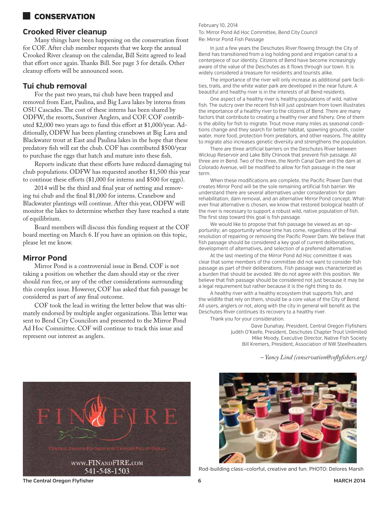## **CONSERVATION**

#### **Crooked River cleanup**

Many things have been happening on the conservation front for COF. After club member requests that we keep the annual Crooked River cleanup on the calendar, Bill Seitz agreed to lead that effort once again. Thanks Bill. See page 3 for details. Other cleanup efforts will be announced soon.

#### **Tui chub removal**

For the past two years, tui chub have been trapped and removed from East, Paulina, and Big Lava lakes by interns from OSU Cascades. The cost of these interns has been shared by ODFW, the resorts, Sunriver Anglers, and COF. COF contributed \$2,000 two years ago to fund this effort at \$1,000/year. Additionally, ODFW has been planting cranebows at Big Lava and Blackwater trout at East and Paulina lakes in the hope that these predatory fish will eat the chub. COF has contributed \$500/year to purchase the eggs that hatch and mature into these fish.

Reports indicate that these efforts have reduced damaging tui chub populations. ODFW has requested another \$1,500 this year to continue these efforts (\$1,000 for interns and \$500 for eggs).

2014 will be the third and final year of netting and removing tui chub and the final \$1,000 for interns. Cranebow and Blackwater plantings will continue. After this year, ODFW will monitor the lakes to determine whether they have reached a state of equilibrium.

Board members will discuss this funding request at the COF board meeting on March 6. If you have an opinion on this topic, please let me know.

#### **Mirror Pond**

Mirror Pond is a controversial issue in Bend. COF is not taking a position on whether the dam should stay or the river should run free, or any of the other considerations surrounding this complex issue. However, COF has asked that fish passage be considered as part of any final outcome.

COF took the lead in writing the letter below that was ultimately endorsed by multiple angler organizations. This letter was sent to Bend City Councilors and presented to the Mirror Pond Ad Hoc Committee. COF will continue to track this issue and represent our interest as anglers.

#### February 10, 2014

To: Mirror Pond Ad Hoc Committee, Bend City Council Re: Mirror Pond Fish Passage

In just a few years the Deschutes River flowing through the City of Bend has transitioned from a log holding pond and irrigation canal to a centerpiece of our identity. Citizens of Bend have become increasingly aware of the value of the Deschutes as it flows through our town. It is widely considered a treasure for residents and tourists alike.

The importance of the river will only increase as additional park facilities, trails, and the white water park are developed in the near future. A beautiful and healthy river is in the interests of all Bend residents.

One aspect of a healthy river is healthy populations of wild, native fish. The outcry over the recent fish kill just upstream from town illustrates the importance of a healthy river to the citizens of Bend. There are many factors that contribute to creating a healthy river and fishery. One of them is the ability for fish to migrate. Trout move many miles as seasonal conditions change and they search for better habitat, spawning grounds, cooler water, more food, protection from predators, and other reasons. The ability to migrate also increases genetic diversity and strengthens the population.

There are three artificial barriers on the Deschutes River between Wickiup Reservoir and Lake Billy Chinook that prevent fish passage. All three are in Bend. Two of the three, the North Canal Dam and the dam at Colorado Avenue, will be modified to allow for fish passage in the near term.

When these modifications are complete, the Pacific Power Dam that creates Mirror Pond will be the sole remaining artificial fish barrier. We understand there are several alternatives under consideration for dam rehabilitation, dam removal, and an alternative Mirror Pond concept. Whatever final alternative is chosen, we know that restored biological health of the river is necessary to support a robust wild, native population of fish. The first step toward this goal is fish passage.

We would like to propose that fish passage be viewed as an opportunity; an opportunity whose time has come, regardless of the final resolution of repairing or removing the Pacific Power Dam. We believe that fish passage should be considered a key goal of current deliberations, development of alternatives, and selection of a preferred alternative.

At the last meeting of the Mirror Pond Ad Hoc committee it was clear that some members of the committee did not want to consider fish passage as part of their deliberations. Fish passage was characterized as a burden that should be avoided. We do not agree with this position. We believe that fish passage should be considered not just because it may be a legal requirement but rather because it is the right thing to do.

A healthy river with a healthy ecosystem that supports fish, and the wildlife that rely on them, should be a core value of the City of Bend. All users, anglers or not, along with the city in general will benefit as the Deschutes River continues its recovery to a healthy river.

Thank you for your consideration.

Dave Dunahay, President, Central Oregon Flyfishers Judith O'Keefe, President, Deschutes Chapter Trout Unlimited Mike Moody, Executive Director, Native Fish Society Bill Kremers, President, Association of NW Steelheaders

*– Yancy Lind (conservation@coflyfishers.org)*





Rod-building class—colorful, creative and fun. PHOTO: Delores Marsh

**The Central Oregon Flyfisher 6 MARCH 2014**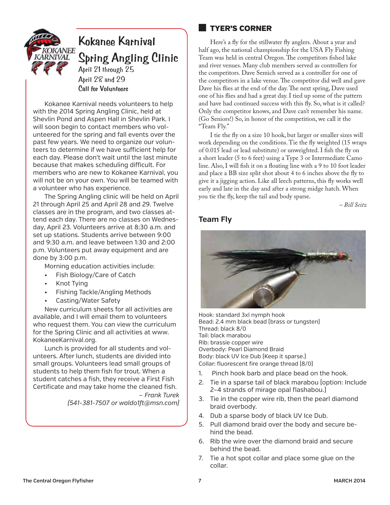

## **Kokanee Karnival Spring Angling Clinic** April 21 through 25 April 28 and 29 **Call for Volunteers**

Kokanee Karnival needs volunteers to help with the 2014 Spring Angling Clinic, held at Shevlin Pond and Aspen Hall in Shevlin Park. I will soon begin to contact members who volunteered for the spring and fall events over the past few years. We need to organize our volunteers to determine if we have sufficient help for each day. Please don't wait until the last minute because that makes scheduling difficult. For members who are new to Kokanee Karnival, you will not be on your own. You will be teamed with a volunteer who has experience.

The Spring Angling clinic will be held on April 21 through April 25 and April 28 and 29. Twelve classes are in the program, and two classes attend each day. There are no classes on Wednesday, April 23. Volunteers arrive at 8:30 a.m. and set up stations. Students arrive between 9:00 and 9:30 a.m. and leave between 1:30 and 2:00 p.m. Volunteers put away equipment and are done by 3:00 p.m.

Morning education activities include:

- Fish Biology/Care of Catch
- **Knot Tying**
- Fishing Tackle/Angling Methods
- Casting/Water Safety

New curriculum sheets for all activities are available, and I will email them to volunteers who request them. You can view the curriculum for the Spring Clinic and all activities at www. KokaneeKarnival.org.

Lunch is provided for all students and volunteers. After lunch, students are divided into small groups. Volunteers lead small groups of students to help them fish for trout. When a student catches a fish, they receive a First Fish Certificate and may take home the cleaned fish.

> *– Frank Turek (541-381-7507 or waldo1ft@msn.com)*

## **TYER'S CORNER**

Here's a fly for the stillwater fly anglers. About a year and half ago, the national championship for the USA Fly Fishing Team was held in central Oregon. The competitors fished lake and river venues. Many club members served as controllers for the competitors. Dave Semich served as a controller for one of the competitors in a lake venue. The competitor did well and gave Dave his flies at the end of the day. The next spring, Dave used one of his flies and had a great day. I tied up some of the pattern and have had continued success with this fly. So, what is it called? Only the competitor knows, and Dave can't remember his name. (Go Seniors!) So, in honor of the competition, we call it the "Team Fly."

I tie the fly on a size 10 hook, but larger or smaller sizes will work depending on the conditions. Tie the fly weighted (15 wraps of 0.015 lead or lead substitute) or unweighted. I fish the fly on a short leader (5 to 6 feet) using a Type 3 or Intermediate Camo line. Also, I will fish it on a floating line with a 9 to 10 foot leader and place a BB size split shot about 4 to 6 inches above the fly to give it a jigging action. Like all leech patterns, this fly works well early and late in the day and after a strong midge hatch. When you tie the fly, keep the tail and body sparse.

*– Bill Seitz*

## **Team Fly**



Hook: standard 3xl nymph hook Bead: 2.4 mm black bead (brass or tungsten) Thread: black 8/0 Tail: black marabou Rib: brassie copper wire Overbody: Pearl Diamond Braid Body: black UV Ice Dub (Keep it sparse.) Collar: fluorescent fire orange thread (8/0)

- 1. Pinch hook barb and place bead on the hook.
- 2. Tie in a sparse tail of black marabou (option: Include 2–4 strands of mirage opal flashabou.)
- 3. Tie in the copper wire rib, then the pearl diamond braid overbody.
- 4. Dub a sparse body of black UV Ice Dub.
- 5. Pull diamond braid over the body and secure behind the bead.
- 6. Rib the wire over the diamond braid and secure behind the bead.
- 7. Tie a hot spot collar and place some glue on the collar.